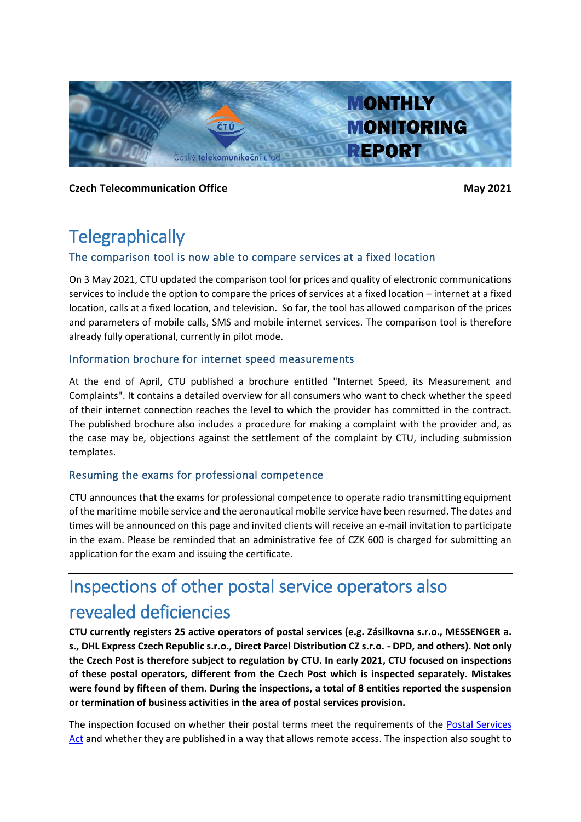

**Czech Telecommunication Office May 2021** 

## **Telegraphically**

#### The comparison tool is now able to compare services at a fixed location

On 3 May 2021, CTU updated the comparison tool for prices and quality of electronic communications services to include the option to compare the prices of services at a fixed location – internet at a fixed location, calls at a fixed location, and television. So far, the tool has allowed comparison of the prices and parameters of mobile calls, SMS and mobile internet services. The comparison tool is therefore already fully operational, currently in pilot mode.

#### Information brochure for internet speed measurements

At the end of April, CTU published a brochure entitled "Internet Speed, its Measurement and Complaints". It contains a detailed overview for all consumers who want to check whether the speed of their internet connection reaches the level to which the provider has committed in the contract. The published brochure also includes a procedure for making a complaint with the provider and, as the case may be, objections against the settlement of the complaint by CTU, including submission templates.

#### Resuming the exams for professional competence

CTU announces that the exams for professional competence to operate radio transmitting equipment of the maritime mobile service and the aeronautical mobile service have been resumed. The dates and times will be announced on this page and invited clients will receive an e-mail invitation to participate in the exam. Please be reminded that an administrative fee of CZK 600 is charged for submitting an application for the exam and issuing the certificate.

# Inspections of other postal service operators also revealed deficiencies

**CTU currently registers 25 active operators of postal services (e.g. Zásilkovna s.r.o., MESSENGER a. s., DHL Express Czech Republic s.r.o., Direct Parcel Distribution CZ s.r.o. - DPD, and others). Not only the Czech Post is therefore subject to regulation by CTU. In early 2021, CTU focused on inspections of these postal operators, different from the Czech Post which is inspected separately. Mistakes were found by fifteen of them. During the inspections, a total of 8 entities reported the suspension or termination of business activities in the area of postal services provision.**

The inspection focused on whether their postal terms meet the requirements of the **Postal Services** [Act](https://www.zakonyprolidi.cz/cs/2000-29) and whether they are published in a way that allows remote access. The inspection also sought to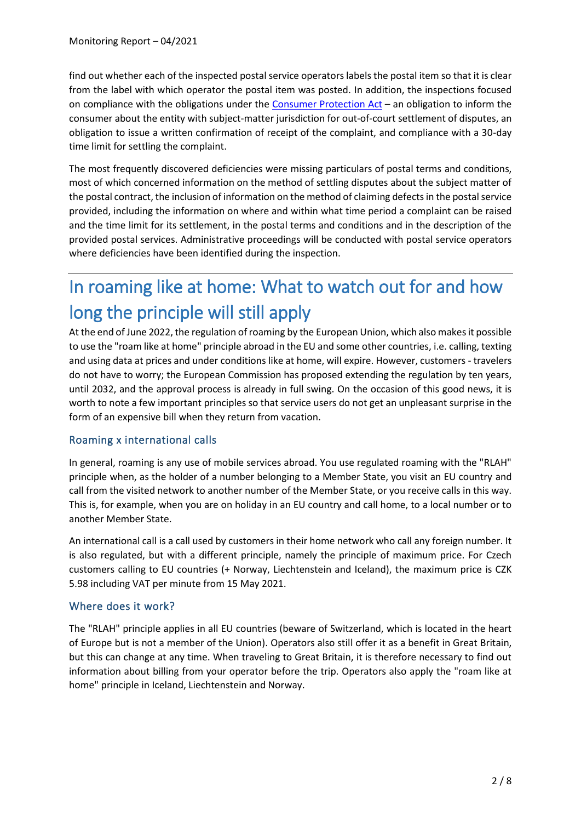find out whether each of the inspected postal service operators labels the postal item so that it is clear from the label with which operator the postal item was posted. In addition, the inspections focused on compliance with the obligations under the [Consumer Protection Act](https://www.zakonyprolidi.cz/cs/1992-634) – an obligation to inform the consumer about the entity with subject-matter jurisdiction for out-of-court settlement of disputes, an obligation to issue a written confirmation of receipt of the complaint, and compliance with a 30-day time limit for settling the complaint.

The most frequently discovered deficiencies were missing particulars of postal terms and conditions, most of which concerned information on the method of settling disputes about the subject matter of the postal contract, the inclusion of information on the method of claiming defects in the postal service provided, including the information on where and within what time period a complaint can be raised and the time limit for its settlement, in the postal terms and conditions and in the description of the provided postal services. Administrative proceedings will be conducted with postal service operators where deficiencies have been identified during the inspection.

# In roaming like at home: What to watch out for and how long the principle will still apply

At the end of June 2022, the regulation of roaming by the European Union, which also makes it possible to use the "roam like at home" principle abroad in the EU and some other countries, i.e. calling, texting and using data at prices and under conditions like at home, will expire. However, customers - travelers do not have to worry; the European Commission has proposed extending the regulation by ten years, until 2032, and the approval process is already in full swing. On the occasion of this good news, it is worth to note a few important principles so that service users do not get an unpleasant surprise in the form of an expensive bill when they return from vacation.

#### Roaming x international calls

In general, roaming is any use of mobile services abroad. You use regulated roaming with the "RLAH" principle when, as the holder of a number belonging to a Member State, you visit an EU country and call from the visited network to another number of the Member State, or you receive calls in this way. This is, for example, when you are on holiday in an EU country and call home, to a local number or to another Member State.

An international call is a call used by customers in their home network who call any foreign number. It is also regulated, but with a different principle, namely the principle of maximum price. For Czech customers calling to EU countries (+ Norway, Liechtenstein and Iceland), the maximum price is CZK 5.98 including VAT per minute from 15 May 2021.

#### Where does it work?

The "RLAH" principle applies in all EU countries (beware of Switzerland, which is located in the heart of Europe but is not a member of the Union). Operators also still offer it as a benefit in Great Britain, but this can change at any time. When traveling to Great Britain, it is therefore necessary to find out information about billing from your operator before the trip. Operators also apply the "roam like at home" principle in Iceland, Liechtenstein and Norway.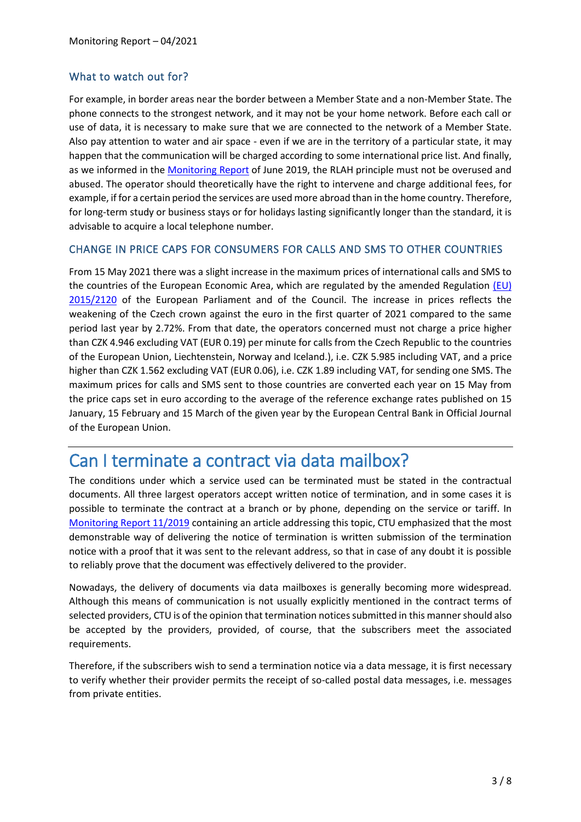#### What to watch out for?

For example, in border areas near the border between a Member State and a non-Member State. The phone connects to the strongest network, and it may not be your home network. Before each call or use of data, it is necessary to make sure that we are connected to the network of a Member State. Also pay attention to water and air space - even if we are in the territory of a particular state, it may happen that the communication will be charged according to some international price list. And finally, as we informed in the [Monitoring Report](https://www.ctu.eu/monthly-monitoring-report-no-62019) of June 2019, the RLAH principle must not be overused and abused. The operator should theoretically have the right to intervene and charge additional fees, for example, if for a certain period the services are used more abroad than in the home country. Therefore, for long-term study or business stays or for holidays lasting significantly longer than the standard, it is advisable to acquire a local telephone number.

#### CHANGE IN PRICE CAPS FOR CONSUMERS FOR CALLS AND SMS TO OTHER COUNTRIES

From 15 May 2021 there was a slight increase in the maximum prices of international calls and SMS to the countries of the European Economic Area, which are regulated by the amended Regulation [\(EU\)](https://eur-lex.europa.eu/legal-content/CS/TXT/?uri=CELEX:02015R2120-20181220)  [2015/2120](https://eur-lex.europa.eu/legal-content/CS/TXT/?uri=CELEX:02015R2120-20181220) of the European Parliament and of the Council. The increase in prices reflects the weakening of the Czech crown against the euro in the first quarter of 2021 compared to the same period last year by 2.72%. From that date, the operators concerned must not charge a price higher than CZK 4.946 excluding VAT (EUR 0.19) per minute for calls from the Czech Republic to the countries of the European Union, Liechtenstein, Norway and Iceland.), i.e. CZK 5.985 including VAT, and a price higher than CZK 1.562 excluding VAT (EUR 0.06), i.e. CZK 1.89 including VAT, for sending one SMS. The maximum prices for calls and SMS sent to those countries are converted each year on 15 May from the price caps set in euro according to the average of the reference exchange rates published on 15 January, 15 February and 15 March of the given year by the European Central Bank in Official Journal of the European Union.

### Can I terminate a contract via data mailbox?

The conditions under which a service used can be terminated must be stated in the contractual documents. All three largest operators accept written notice of termination, and in some cases it is possible to terminate the contract at a branch or by phone, depending on the service or tariff. In [Monitoring Report 11/2019](https://www.ctu.eu/sites/default/files/obsah/ctu/monthly-monitoring-report-no.11/2019/obrazky/monitoringreport112019.pdf) containing an article addressing this topic, CTU emphasized that the most demonstrable way of delivering the notice of termination is written submission of the termination notice with a proof that it was sent to the relevant address, so that in case of any doubt it is possible to reliably prove that the document was effectively delivered to the provider.

Nowadays, the delivery of documents via data mailboxes is generally becoming more widespread. Although this means of communication is not usually explicitly mentioned in the contract terms of selected providers, CTU is of the opinion that termination notices submitted in this manner should also be accepted by the providers, provided, of course, that the subscribers meet the associated requirements.

Therefore, if the subscribers wish to send a termination notice via a data message, it is first necessary to verify whether their provider permits the receipt of so-called postal data messages, i.e. messages from private entities.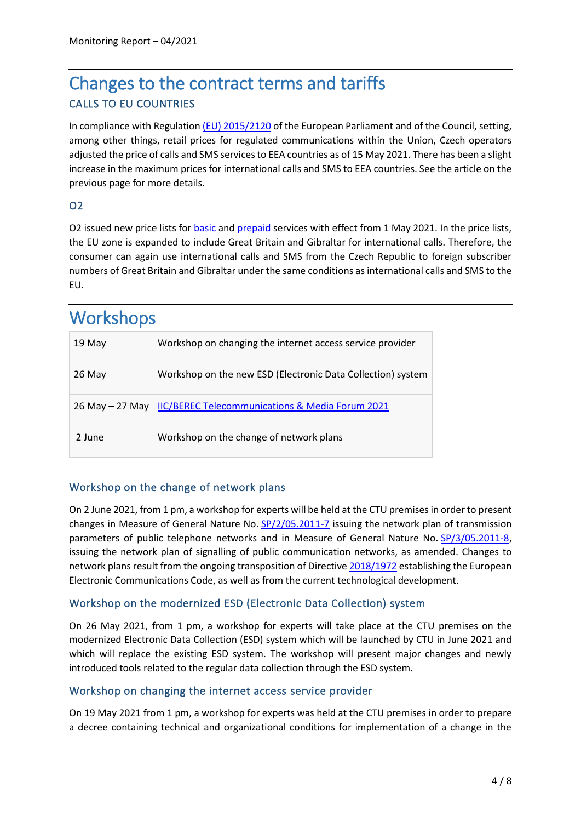## Changes to the contract terms and tariffs CALLS TO EU COUNTRIES

In compliance with Regulatio[n \(EU\) 2015/2120](https://eur-lex.europa.eu/legal-content/EN/TXT/?uri=CELEX%3A02015R2120-20181220) of the European Parliament and of the Council, setting, among other things, retail prices for regulated communications within the Union, Czech operators adjusted the price of calls and SMS services to EEA countries as of 15 May 2021. There has been a slight increase in the maximum prices for international calls and SMS to EEA countries. See the article on the previous page for more details.

#### O2

O2 issued new price lists fo[r basic](https://www.o2.cz/osobni/ceniky-a-dokumenty/cenik-zakladnich-sluzeb/platnost-od-1.-5.-2021/Cenik_zakladnich_sluzeb_01_05_2021.pdf?_linka=a251425) and [prepaid](https://www.o2.cz/osobni/ceniky-a-dokumenty/cenik-predplacenych-sluzeb/platnost-od-1.-5.-2021/Cenik_predplacenych_sluzeb_01_05_2021.pdf?_linka=a251452) services with effect from 1 May 2021. In the price lists, the EU zone is expanded to include Great Britain and Gibraltar for international calls. Therefore, the consumer can again use international calls and SMS from the Czech Republic to foreign subscriber numbers of Great Britain and Gibraltar under the same conditions as international calls and SMS to the EU.

## **Workshops**

| 19 May              | Workshop on changing the internet access service provider   |
|---------------------|-------------------------------------------------------------|
| 26 May              | Workshop on the new ESD (Electronic Data Collection) system |
| $26$ May $- 27$ May | <b>IIC/BEREC Telecommunications &amp; Media Forum 2021</b>  |
| 2 June              | Workshop on the change of network plans                     |

#### Workshop on the change of network plans

On 2 June 2021, from 1 pm, a workshop for experts will be held at the CTU premises in order to present changes in Measure of General Nature No.  $SP/2/05.2011-7$  issuing the network plan of transmission parameters of public telephone networks and in Measure of General Nature No. [SP/3/05.2011-8,](https://www.ctu.cz/opatreni-obecne-povahy-c-sp3052011-8-kterym-se-vydava-sitovy-plan-signalizace-verejnych) issuing the network plan of signalling of public communication networks, as amended. Changes to network plans result from the ongoing transposition of Directive [2018/1972](https://eur-lex.europa.eu/legal-content/EN/TXT/PDF/?uri=CELEX:32018L1972&from=EN) establishing the European Electronic Communications Code, as well as from the current technological development.

#### Workshop on the modernized ESD (Electronic Data Collection) system

On 26 May 2021, from 1 pm, a workshop for experts will take place at the CTU premises on the modernized Electronic Data Collection (ESD) system which will be launched by CTU in June 2021 and which will replace the existing ESD system. The workshop will present major changes and newly introduced tools related to the regular data collection through the ESD system.

#### Workshop on changing the internet access service provider

On 19 May 2021 from 1 pm, a workshop for experts was held at the CTU premises in order to prepare a decree containing technical and organizational conditions for implementation of a change in the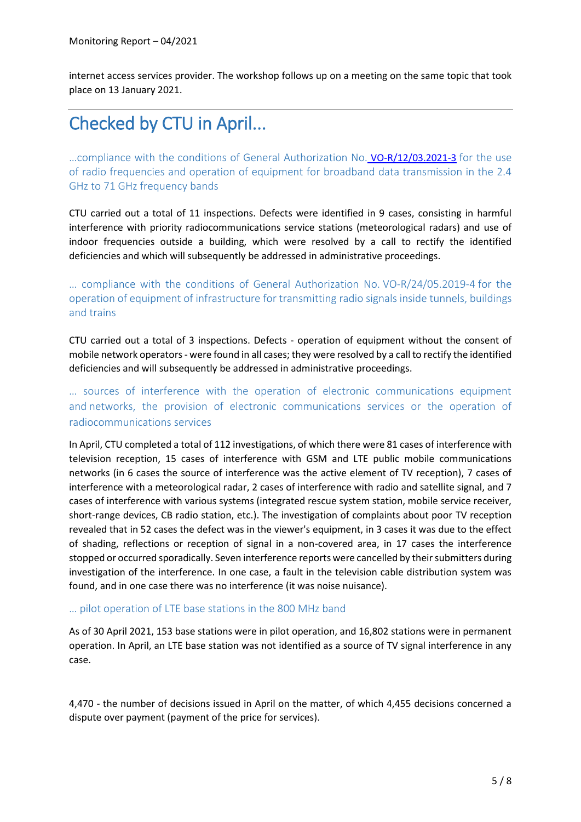internet access services provider. The workshop follows up on a meeting on the same topic that took place on 13 January 2021.

# Checked by CTU in April...

…compliance with the conditions of General Authorization No. [VO-R/12/03.2021-3](https://www.ctu.eu/sites/default/files/obsah/stranky/74784/soubory/vo-r-12-03.2021-3enfin.pdf) for the use of radio frequencies and operation of equipment for broadband data transmission in the 2.4 GHz to 71 GHz frequency bands

CTU carried out a total of 11 inspections. Defects were identified in 9 cases, consisting in harmful interference with priority radiocommunications service stations (meteorological radars) and use of indoor frequencies outside a building, which were resolved by a call to rectify the identified deficiencies and which will subsequently be addressed in administrative proceedings.

… compliance with the conditions of General Authorization No. [VO-R/24/05.2019-4](https://www.ctu.cz/sites/default/files/obsah/ctu/vseobecne-opravneni-c.vo-r/24/05.2019-4/obrazky/vo-r24-052019-4.pdf) for the operation of equipment of infrastructure for transmitting radio signals inside tunnels, buildings and trains

CTU carried out a total of 3 inspections. Defects - operation of equipment without the consent of mobile network operators - were found in all cases; they were resolved by a call to rectify the identified deficiencies and will subsequently be addressed in administrative proceedings.

… sources of interference with the operation of electronic communications equipment and networks, the provision of electronic communications services or the operation of radiocommunications services

In April, CTU completed a total of 112 investigations, of which there were 81 cases of interference with television reception, 15 cases of interference with GSM and LTE public mobile communications networks (in 6 cases the source of interference was the active element of TV reception), 7 cases of interference with a meteorological radar, 2 cases of interference with radio and satellite signal, and 7 cases of interference with various systems (integrated rescue system station, mobile service receiver, short-range devices, CB radio station, etc.). The investigation of complaints about poor TV reception revealed that in 52 cases the defect was in the viewer's equipment, in 3 cases it was due to the effect of shading, reflections or reception of signal in a non-covered area, in 17 cases the interference stopped or occurred sporadically. Seven interference reports were cancelled by their submitters during investigation of the interference. In one case, a fault in the television cable distribution system was found, and in one case there was no interference (it was noise nuisance).

#### … pilot operation of LTE base stations in the 800 MHz band

As of 30 April 2021, 153 base stations were in pilot operation, and 16,802 stations were in permanent operation. In April, an LTE base station was not identified as a source of TV signal interference in any case.

4,470 - the number of decisions issued in April on the matter, of which 4,455 decisions concerned a dispute over payment (payment of the price for services).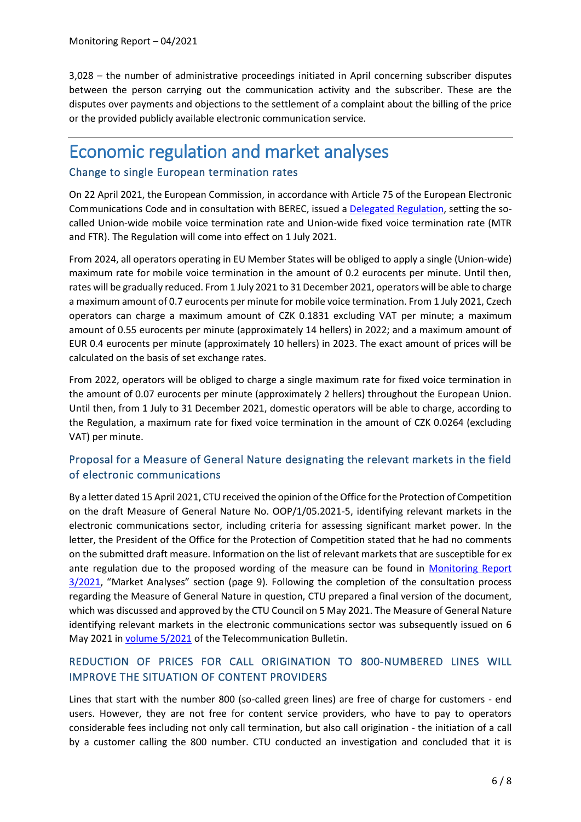3,028 – the number of administrative proceedings initiated in April concerning subscriber disputes between the person carrying out the communication activity and the subscriber. These are the disputes over payments and objections to the settlement of a complaint about the billing of the price or the provided publicly available electronic communication service.

### Economic regulation and market analyses Change to single European termination rates

On 22 April 2021, the European Commission, in accordance with Article 75 of the European Electronic Communications Code and in consultation with BEREC, issued a [Delegated Regulation,](https://eur-lex.europa.eu/legal-content/EN/TXT/HTML/?uri=CELEX:32021R0654&from=EN) setting the socalled Union-wide mobile voice termination rate and Union-wide fixed voice termination rate (MTR and FTR). The Regulation will come into effect on 1 July 2021.

From 2024, all operators operating in EU Member States will be obliged to apply a single (Union-wide) maximum rate for mobile voice termination in the amount of 0.2 eurocents per minute. Until then, rates will be gradually reduced. From 1 July 2021 to 31 December 2021, operators will be able to charge a maximum amount of 0.7 eurocents per minute for mobile voice termination. From 1 July 2021, Czech operators can charge a maximum amount of CZK 0.1831 excluding VAT per minute; a maximum amount of 0.55 eurocents per minute (approximately 14 hellers) in 2022; and a maximum amount of EUR 0.4 eurocents per minute (approximately 10 hellers) in 2023. The exact amount of prices will be calculated on the basis of set exchange rates.

From 2022, operators will be obliged to charge a single maximum rate for fixed voice termination in the amount of 0.07 eurocents per minute (approximately 2 hellers) throughout the European Union. Until then, from 1 July to 31 December 2021, domestic operators will be able to charge, according to the Regulation, a maximum rate for fixed voice termination in the amount of CZK 0.0264 (excluding VAT) per minute.

#### Proposal for a Measure of General Nature designating the relevant markets in the field of electronic communications

By a letter dated 15 April 2021, CTU received the opinion of the Office for the Protection of Competition on the draft Measure of General Nature No. OOP/1/05.2021-5, identifying relevant markets in the electronic communications sector, including criteria for assessing significant market power. In the letter, the President of the Office for the Protection of Competition stated that he had no comments on the submitted draft measure. Information on the list of relevant markets that are susceptible for ex ante regulation due to the proposed wording of the measure can be found in [Monitoring Report](https://www.ctu.eu/sites/default/files/obsah/ctu/monthly-monitoring-report-no.3/2021/obrazky/mz0321en.pdf)  [3/2021](https://www.ctu.eu/sites/default/files/obsah/ctu/monthly-monitoring-report-no.3/2021/obrazky/mz0321en.pdf), "Market Analyses" section (page 9). Following the completion of the consultation process regarding the Measure of General Nature in question, CTU prepared a final version of the document, which was discussed and approved by the CTU Council on 5 May 2021. The Measure of General Nature identifying relevant markets in the electronic communications sector was subsequently issued on 6 May 2021 i[n volume 5/2021](https://www.ctu.cz/sites/default/files/obsah/ctu/telekomunikacni-vestnik-castka-5/2021/obrazky/tv-2021-05.pdf) of the Telecommunication Bulletin.

#### REDUCTION OF PRICES FOR CALL ORIGINATION TO 800-NUMBERED LINES WILL IMPROVE THE SITUATION OF CONTENT PROVIDERS

Lines that start with the number 800 (so-called green lines) are free of charge for customers - end users. However, they are not free for content service providers, who have to pay to operators considerable fees including not only call termination, but also call origination - the initiation of a call by a customer calling the 800 number. CTU conducted an investigation and concluded that it is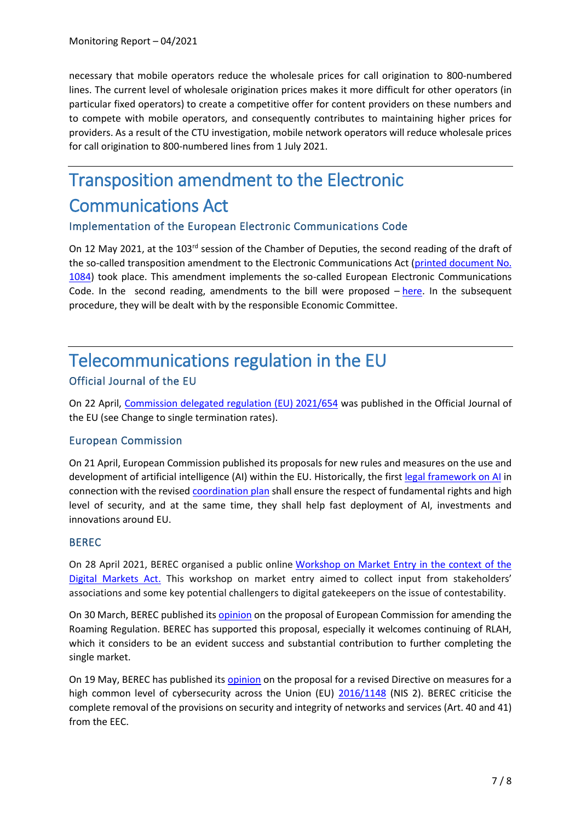necessary that mobile operators reduce the wholesale prices for call origination to 800-numbered lines. The current level of wholesale origination prices makes it more difficult for other operators (in particular fixed operators) to create a competitive offer for content providers on these numbers and to compete with mobile operators, and consequently contributes to maintaining higher prices for providers. As a result of the CTU investigation, mobile network operators will reduce wholesale prices for call origination to 800-numbered lines from 1 July 2021.

# Transposition amendment to the Electronic Communications Act

#### Implementation of the European Electronic Communications Code

On 12 May 2021, at the 103<sup>rd</sup> session of the Chamber of Deputies, the second reading of the draft of the so-called transposition amendment to the Electronic Communications Act [\(printed document No.](https://www.psp.cz/sqw/historie.sqw?o=8&t=1084)  [1084\)](https://www.psp.cz/sqw/historie.sqw?o=8&t=1084) took place. This amendment implements the so-called European Electronic Communications Code. In the second reading, amendments to the bill were proposed  $-\frac{here}{here}$ . In the subsequent procedure, they will be dealt with by the responsible Economic Committee.

### Telecommunications regulation in the EU Official Journal of the EU

On 22 April, [Commission delegated regulation \(EU\) 2021/654](https://eur-lex.europa.eu/legal-content/EN/TXT/PDF/?uri=CELEX:32021R0654&from=EN) was published in the Official Journal of the EU (see Change to single termination rates).

#### European Commission

On 21 April, European Commission published its proposals for new rules and measures on the use and development of artificial intelligence (AI) within the EU. Historically, the first [legal framework on](https://digital-strategy.ec.europa.eu/en/library/proposal-regulation-laying-down-harmonised-rules-artificial-intelligence) AI in connection with the revised [coordination plan](https://digital-strategy.ec.europa.eu/en/library/coordinated-plan-artificial-intelligence-2021-review) shall ensure the respect of fundamental rights and high level of security, and at the same time, they shall help fast deployment of AI, investments and innovations around EU.

#### BEREC

On 28 April 2021, BEREC organised a public online [Workshop on Market Entry in the context of the](https://berec.europa.eu/eng/events/berec_events_2021/278-berec-workshop-on-market-entry-in-the-context-of-the-digital-markets-act-dma)  [Digital Markets Act.](https://berec.europa.eu/eng/events/berec_events_2021/278-berec-workshop-on-market-entry-in-the-context-of-the-digital-markets-act-dma) This workshop on market entry aimed to collect input from stakeholders' associations and some key potential challengers to digital gatekeepers on the issue of contestability.

On 30 March, BEREC published its **opinion** on the proposal of European Commission for amending the Roaming Regulation. BEREC has supported this proposal, especially it welcomes continuing of RLAH, which it considers to be an evident success and substantial contribution to further completing the single market.

On 19 May, BEREC has published its [opinion](https://berec.europa.eu/eng/document_register/subject_matter/berec/opinions/9949-berec-opinion-on-the-proposed-nis-2-directive-and-its-effect-on-electronic-communications) on the proposal for a revised Directive on measures for a high common level of cybersecurity across the Union (EU)  $\frac{2016}{1148}$  (NIS 2). BEREC criticise the complete removal of the provisions on security and integrity of networks and services (Art. 40 and 41) from the EEC.